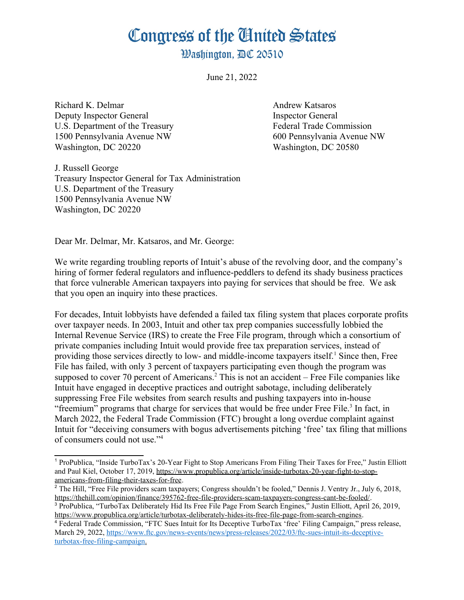## Congress of the Ginited States

**Washington. AC 20510** 

June 21, 2022

Richard K. Delmar Andrew Katsaros Deputy Inspector General Inspector General U.S. Department of the Treasury Federal Trade Commission 1500 Pennsylvania Avenue NW 600 Pennsylvania Avenue NW Washington, DC 20220 Washington, DC 20580

<span id="page-0-0"></span>

J. Russell George Treasury Inspector General for Tax Administration U.S. Department of the Treasury 1500 Pennsylvania Avenue NW Washington, DC 20220

Dear Mr. Delmar, Mr. Katsaros, and Mr. George:

We write regarding troubling reports of Intuit's abuse of the revolving door, and the company's hiring of former federal regulators and influence-peddlers to defend its shady business practices that force vulnerable American taxpayers into paying for services that should be free. We ask that you open an inquiry into these practices.

<span id="page-0-2"></span>For decades, Intuit lobbyists have defended a failed tax filing system that places corporate profits over taxpayer needs. In 2003, Intuit and other tax prep companies successfully lobbied the Internal Revenue Service (IRS) to create the Free File program, through which a consortium of private companies including Intuit would provide free tax preparation services, instead of providing those services directly to low- and middle-income taxpayers itself.<sup>[1](#page-0-1)</sup> Since then, Free File has failed, with only 3 percent of taxpayers participating even though the program was supposed to cover 70 percent of Americans.<sup>[2](#page-0-3)</sup> This is not an accident – Free File companies like Intuit have engaged in deceptive practices and outright sabotage, including deliberately suppressing Free File websites from search results and pushing taxpayers into in-house "freemium" programs that charge for services that would be free under Free File.<sup>[3](#page-0-5)</sup> In fact, in March 2022, the Federal Trade Commission (FTC) brought a long overdue complaint against Intuit for "deceiving consumers with bogus advertisements pitching 'free' tax filing that millions of consumers could not use."[4](#page-0-7)

<span id="page-0-6"></span><span id="page-0-4"></span><span id="page-0-1"></span>[<sup>1</sup>](#page-0-0) ProPublica, "Inside TurboTax's 20-Year Fight to Stop Americans From Filing Their Taxes for Free," Justin Elliott and Paul Kiel, October 17, 2019, [https://www.propublica.org/article/inside-turbotax-20-year-fight-to-stop](https://www.propublica.org/article/inside-turbotax-20-year-fight-to-stop-americans-from-filing-their-taxes-for-free)[americans-from-filing-their-taxes-for-free.](https://www.propublica.org/article/inside-turbotax-20-year-fight-to-stop-americans-from-filing-their-taxes-for-free)

<span id="page-0-3"></span>[<sup>2</sup>](#page-0-2) The Hill, "Free File providers scam taxpayers; Congress shouldn't be fooled," Dennis J. Ventry Jr., July 6, 2018, <https://thehill.com/opinion/finance/395762-free-file-providers-scam-taxpayers-congress-cant-be-fooled/>.

<span id="page-0-5"></span>[<sup>3</sup>](#page-0-4) ProPublica, "TurboTax Deliberately Hid Its Free File Page From Search Engines," Justin Elliott, April 26, 2019, [https://www.propublica.org/article/turbotax-deliberately-hides-its-free-file-page-from-search-engines.](https://www.propublica.org/article/turbotax-deliberately-hides-its-free-file-page-from-search-engines)

<span id="page-0-7"></span>[<sup>4</sup>](#page-0-6) Federal Trade Commission, "FTC Sues Intuit for Its Deceptive TurboTax 'free' Filing Campaign," press release, March 29, 2022, [https://www.ftc.gov/news-events/news/press-releases/2022/03/ftc-sues-intuit-its-deceptive](https://www.ftc.gov/news-events/news/press-releases/2022/03/ftc-sues-intuit-its-deceptive-turbotax-free-filing-campaign)  [turbotax-free-filing-campaign](https://www.ftc.gov/news-events/news/press-releases/2022/03/ftc-sues-intuit-its-deceptive-turbotax-free-filing-campaign).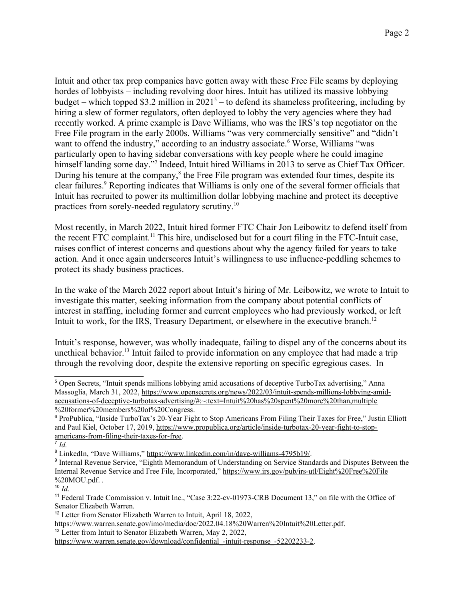<span id="page-1-2"></span><span id="page-1-0"></span>Intuit and other tax prep companies have gotten away with these Free File scams by deploying hordes of lobbyists – including revolving door hires. Intuit has utilized its massive lobbying budget – which topped \$3.2 million in  $2021<sup>5</sup>$  $2021<sup>5</sup>$  $2021<sup>5</sup>$  – to defend its shameless profiteering, including by hiring a slew of former regulators, often deployed to lobby the very agencies where they had recently worked. A prime example is Dave Williams, who was the IRS's top negotiator on the Free File program in the early 2000s. Williams "was very commercially sensitive" and "didn't want to offend the industry," according to an industry associate. Worse, Williams "was particularly open to having sidebar conversations with key people where he could imagine himself landing some day.<sup>"[7](#page-1-5)</sup> Indeed, Intuit hired Williams in 2013 to serve as Chief Tax Officer. During his tenure at the company,  $\delta$  the Free File program was extended four times, despite its clear failures.<sup>[9](#page-1-9)</sup> Reporting indicates that Williams is only one of the several former officials that Intuit has recruited to power its multimillion dollar lobbying machine and protect its deceptive practices from sorely-needed regulatory scrutiny.[10](#page-1-11)

<span id="page-1-12"></span><span id="page-1-10"></span><span id="page-1-8"></span><span id="page-1-6"></span><span id="page-1-4"></span>Most recently, in March 2022, Intuit hired former FTC Chair Jon Leibowitz to defend itself from the recent FTC complaint.[11](#page-1-13) This hire, undisclosed but for a court filing in the FTC-Intuit case, raises conflict of interest concerns and questions about why the agency failed for years to take action. And it once again underscores Intuit's willingness to use influence-peddling schemes to protect its shady business practices.

In the wake of the March 2022 report about Intuit's hiring of Mr. Leibowitz, we wrote to Intuit to investigate this matter, seeking information from the company about potential conflicts of interest in staffing, including former and current employees who had previously worked, or left Intuit to work, for the IRS, Treasury Department, or elsewhere in the executive branch.<sup>[12](#page-1-15)</sup>

<span id="page-1-16"></span><span id="page-1-14"></span>Intuit's response, however, was wholly inadequate, failing to dispel any of the concerns about its unethical behavior.[13](#page-1-17) Intuit failed to provide information on any employee that had made a trip through the revolving door, despite the extensive reporting on specific egregious cases. In

<span id="page-1-3"></span>[6](#page-1-2) ProPublica, "Inside TurboTax's 20-Year Fight to Stop Americans From Filing Their Taxes for Free," Justin Elliott and Paul Kiel, October 17, 2019, [https://www.propublica.org/article/inside-turbotax-20-year-fight-to-stop](https://www.propublica.org/article/inside-turbotax-20-year-fight-to-stop-americans-from-filing-their-taxes-for-free)[americans-from-filing-their-taxes-for-free.](https://www.propublica.org/article/inside-turbotax-20-year-fight-to-stop-americans-from-filing-their-taxes-for-free)

<span id="page-1-1"></span><sup>&</sup>lt;sup>[5](#page-1-0)</sup> Open Secrets, "Intuit spends millions lobbying amid accusations of deceptive TurboTax advertising." Anna Massoglia, March 31, 2022, [https://www.opensecrets.org/news/2022/03/intuit-spends-millions-lobbying-amid](https://www.opensecrets.org/news/2022/03/intuit-spends-millions-lobbying-amid-accusations-of-deceptive-turbotax-advertising/#:~:text=Intuit%20has%20spent%20more%20than,multiple%20former%20members%20of%20Congress)[accusations-of-deceptive-turbotax-advertising/#:~:text=Intuit%20has%20spent%20more%20than,multiple](https://www.opensecrets.org/news/2022/03/intuit-spends-millions-lobbying-amid-accusations-of-deceptive-turbotax-advertising/#:~:text=Intuit%20has%20spent%20more%20than,multiple%20former%20members%20of%20Congress) [%20former%20members%20of%20Congress.](https://www.opensecrets.org/news/2022/03/intuit-spends-millions-lobbying-amid-accusations-of-deceptive-turbotax-advertising/#:~:text=Intuit%20has%20spent%20more%20than,multiple%20former%20members%20of%20Congress)

<span id="page-1-5"></span>[<sup>7</sup>](#page-1-4) *Id.*

<span id="page-1-7"></span>[<sup>8</sup>](#page-1-6) LinkedIn, "Dave Williams," <https://www.linkedin.com/in/dave-williams-4795b19/>.

<span id="page-1-9"></span>[<sup>9</sup>](#page-1-8) Internal Revenue Service, "Eighth Memorandum of Understanding on Service Standards and Disputes Between the Internal Revenue Service and Free File, Incorporated," [https://www.irs.gov/pub/irs-utl/Eight%20Free%20File](https://www.irs.gov/pub/irs-utl/Eight%20Free%20File%20MOU.pdf) [%20MOU.pdf.](https://www.irs.gov/pub/irs-utl/Eight%20Free%20File%20MOU.pdf) *.*

<span id="page-1-11"></span> $\overline{10}$  $\overline{10}$  $\overline{10}$  *Id.* 

<span id="page-1-13"></span>[<sup>11</sup>](#page-1-12) Federal Trade Commission v. Intuit Inc., "Case 3:22-cv-01973-CRB Document 13," on file with the Office of Senator Elizabeth Warren.

<span id="page-1-15"></span><sup>&</sup>lt;sup>[12](#page-1-14)</sup> Letter from Senator Elizabeth Warren to Intuit, April 18, 2022,

[https://www.warren.senate.gov/imo/media/doc/2022.04.18%20Warren%20Intuit%20Letter.pdf.](https://www.warren.senate.gov/imo/media/doc/2022.04.18%20Warren%20Intuit%20Letter.pdf)

<span id="page-1-17"></span> $13$  Letter from Intuit to Senator Elizabeth Warren, May 2, 2022,

https://www.warren.senate.gov/download/confidential -intuit-response -52202233-2.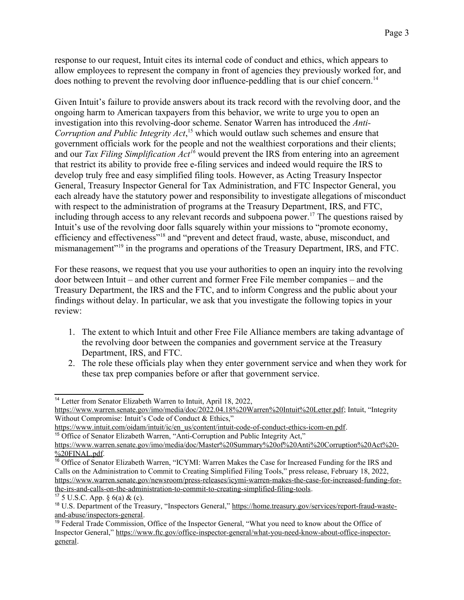<span id="page-2-0"></span>response to our request, Intuit cites its internal code of conduct and ethics, which appears to allow employees to represent the company in front of agencies they previously worked for, and does nothing to prevent the revolving door influence-peddling that is our chief concern.<sup>[14](#page-2-1)</sup>

<span id="page-2-4"></span><span id="page-2-2"></span>Given Intuit's failure to provide answers about its track record with the revolving door, and the ongoing harm to American taxpayers from this behavior, we write to urge you to open an investigation into this revolving-door scheme. Senator Warren has introduced the *Anti-Corruption and Public Integrity Act*, [15](#page-2-3) which would outlaw such schemes and ensure that government officials work for the people and not the wealthiest corporations and their clients; and our *Tax Filing Simplification Act[16](#page-2-5)* would prevent the IRS from entering into an agreement that restrict its ability to provide free e-filing services and indeed would require the IRS to develop truly free and easy simplified filing tools. However, as Acting Treasury Inspector General, Treasury Inspector General for Tax Administration, and FTC Inspector General, you each already have the statutory power and responsibility to investigate allegations of misconduct with respect to the administration of programs at the Treasury Department, IRS, and FTC, including through access to any relevant records and subpoena power.<sup>[17](#page-2-7)</sup> The questions raised by Intuit's use of the revolving door falls squarely within your missions to "promote economy, efficiency and effectiveness"[18](#page-2-9) and "prevent and detect fraud, waste, abuse, misconduct, and mismanagement"<sup>[19](#page-2-11)</sup> in the programs and operations of the Treasury Department, IRS, and FTC.

<span id="page-2-10"></span><span id="page-2-8"></span><span id="page-2-6"></span>For these reasons, we request that you use your authorities to open an inquiry into the revolving door between Intuit – and other current and former Free File member companies – and the Treasury Department, the IRS and the FTC, and to inform Congress and the public about your findings without delay. In particular, we ask that you investigate the following topics in your review:

- 1. The extent to which Intuit and other Free File Alliance members are taking advantage of the revolving door between the companies and government service at the Treasury Department, IRS, and FTC.
- 2. The role these officials play when they enter government service and when they work for these tax prep companies before or after that government service.

<span id="page-2-1"></span>[<sup>14</sup>](#page-2-0) Letter from Senator Elizabeth Warren to Intuit, April 18, 2022,

[https://www.warren.senate.gov/imo/media/doc/2022.04.18%20Warren%20Intuit%20Letter.pdf;](https://www.warren.senate.gov/imo/media/doc/2022.04.18%20Warren%20Intuit%20Letter.pdf) Intuit, "Integrity Without Compromise: Intuit's Code of Conduct & Ethics,"

<span id="page-2-3"></span>[https://www.intuit.com/oidam/intuit/ic/en\\_us/content/intuit-code-of-conduct-ethics-icom-en.pdf](https://www.intuit.com/oidam/intuit/ic/en_us/content/intuit-code-of-conduct-ethics-icom-en.pdf). <sup>[15](#page-2-2)</sup> Office of Senator Elizabeth Warren, "Anti-Corruption and Public Integrity Act,"

[https://www.warren.senate.gov/imo/media/doc/Master%20Summary%20of%20Anti%20Corruption%20Act%20-](https://www.warren.senate.gov/imo/media/doc/Master%20Summary%20of%20Anti%20Corruption%20Act%20-%20FINAL.pdf) [%20FINAL.pdf.](https://www.warren.senate.gov/imo/media/doc/Master%20Summary%20of%20Anti%20Corruption%20Act%20-%20FINAL.pdf)

<span id="page-2-5"></span><sup>&</sup>lt;sup>[16](#page-2-4)</sup> Office of Senator Elizabeth Warren, "ICYMI: Warren Makes the Case for Increased Funding for the IRS and Calls on the Administration to Commit to Creating Simplified Filing Tools," press release, February 18, 2022, [https://www.warren.senate.gov/newsroom/press-releases/icymi-warren-makes-the-case-for-increased-funding-for](https://www.warren.senate.gov/newsroom/press-releases/icymi-warren-makes-the-case-for-increased-funding-for-the-irs-and-calls-on-the-administration-to-commit-to-creating-simplified-filing-tools)[the-irs-and-calls-on-the-administration-to-commit-to-creating-simplified-filing-tools](https://www.warren.senate.gov/newsroom/press-releases/icymi-warren-makes-the-case-for-increased-funding-for-the-irs-and-calls-on-the-administration-to-commit-to-creating-simplified-filing-tools).

<span id="page-2-7"></span> $17\,5$  $17\,5$  U.S.C. App. § 6(a) & (c).

<span id="page-2-9"></span>[<sup>18</sup>](#page-2-8) U.S. Department of the Treasury, "Inspectors General," [https://home.treasury.gov/services/report-fraud-waste](https://home.treasury.gov/services/report-fraud-waste-and-abuse/inspectors-general)[and-abuse/inspectors-general.](https://home.treasury.gov/services/report-fraud-waste-and-abuse/inspectors-general)

<span id="page-2-11"></span><sup>&</sup>lt;sup>[19](#page-2-10)</sup> Federal Trade Commission, Office of the Inspector General, "What you need to know about the Office of Inspector General," [https://www.ftc.gov/office-inspector-general/what-you-need-know-about-office-inspector](https://www.ftc.gov/office-inspector-general/what-you-need-know-about-office-inspector-general)[general.](https://www.ftc.gov/office-inspector-general/what-you-need-know-about-office-inspector-general)